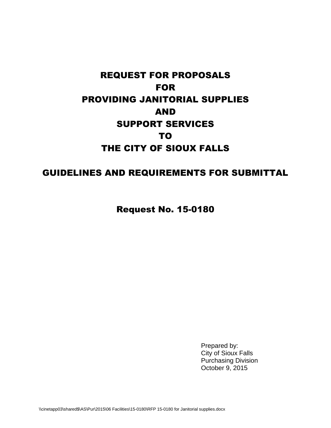# REQUEST FOR PROPOSALS FOR PROVIDING JANITORIAL SUPPLIES AND SUPPORT SERVICES TO THE CITY OF SIOUX FALLS

# GUIDELINES AND REQUIREMENTS FOR SUBMITTAL

Request No. 15-0180

Prepared by: City of Sioux Falls Purchasing Division October 9, 2015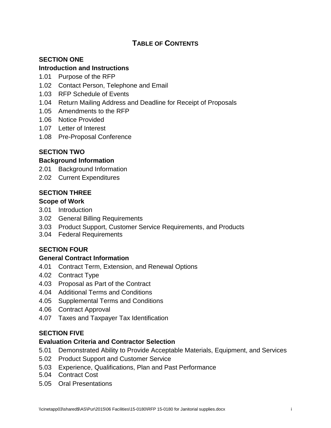# **TABLE OF CONTENTS**

# **SECTION ONE**

### **Introduction and Instructions**

- 1.01 Purpose of the RFP
- 1.02 Contact Person, Telephone and Email
- 1.03 RFP Schedule of Events
- 1.04 Return Mailing Address and Deadline for Receipt of Proposals
- 1.05 Amendments to the RFP
- 1.06 Notice Provided
- 1.07 Letter of Interest
- 1.08 Pre-Proposal Conference

# **SECTION TWO**

### **Background Information**

- 2.01 Background Information
- 2.02 Current Expenditures

### **SECTION THREE**

### **Scope of Work**

- 3.01 Introduction
- 3.02 General Billing Requirements
- 3.03 Product Support, Customer Service Requirements, and Products
- 3.04 Federal Requirements

# **SECTION FOUR**

### **General Contract Information**

- 4.01 Contract Term, Extension, and Renewal Options
- 4.02 Contract Type
- 4.03 Proposal as Part of the Contract
- 4.04 Additional Terms and Conditions
- 4.05 Supplemental Terms and Conditions
- 4.06 Contract Approval
- 4.07 Taxes and Taxpayer Tax Identification

# **SECTION FIVE**

### **Evaluation Criteria and Contractor Selection**

- 5.01 Demonstrated Ability to Provide Acceptable Materials, Equipment, and Services
- 5.02 Product Support and Customer Service
- 5.03 Experience, Qualifications, Plan and Past Performance
- 5.04 Contract Cost
- 5.05 Oral Presentations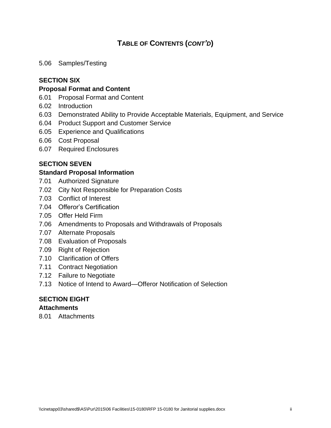# **TABLE OF CONTENTS (***CONT'D***)**

5.06 Samples/Testing

# **SECTION SIX**

### **Proposal Format and Content**

- 6.01 Proposal Format and Content
- 6.02 Introduction
- 6.03 Demonstrated Ability to Provide Acceptable Materials, Equipment, and Service
- 6.04 Product Support and Customer Service
- 6.05 Experience and Qualifications
- 6.06 Cost Proposal
- 6.07 Required Enclosures

### **SECTION SEVEN**

#### **Standard Proposal Information**

- 7.01 Authorized Signature
- 7.02 City Not Responsible for Preparation Costs
- 7.03 Conflict of Interest
- 7.04 Offeror's Certification
- 7.05 Offer Held Firm
- 7.06 Amendments to Proposals and Withdrawals of Proposals
- 7.07 Alternate Proposals
- 7.08 Evaluation of Proposals
- 7.09 Right of Rejection
- 7.10 Clarification of Offers
- 7.11 Contract Negotiation
- 7.12 Failure to Negotiate
- 7.13 Notice of Intend to Award—Offeror Notification of Selection

### **SECTION EIGHT**

### **Attachments**

8.01 Attachments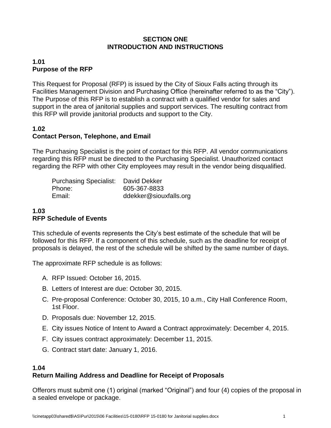### **SECTION ONE INTRODUCTION AND INSTRUCTIONS**

# **1.01 Purpose of the RFP**

This Request for Proposal (RFP) is issued by the City of Sioux Falls acting through its Facilities Management Division and Purchasing Office (hereinafter referred to as the "City"). The Purpose of this RFP is to establish a contract with a qualified vendor for sales and support in the area of janitorial supplies and support services. The resulting contract from this RFP will provide janitorial products and support to the City.

# **1.02 Contact Person, Telephone, and Email**

The Purchasing Specialist is the point of contact for this RFP. All vendor communications regarding this RFP must be directed to the Purchasing Specialist. Unauthorized contact regarding the RFP with other City employees may result in the vendor being disqualified.

| <b>Purchasing Specialist: David Dekker</b> |                        |
|--------------------------------------------|------------------------|
| Phone:                                     | 605-367-8833           |
| Email:                                     | ddekker@siouxfalls.org |

# **1.03 RFP Schedule of Events**

This schedule of events represents the City's best estimate of the schedule that will be followed for this RFP. If a component of this schedule, such as the deadline for receipt of proposals is delayed, the rest of the schedule will be shifted by the same number of days.

The approximate RFP schedule is as follows:

- A. RFP Issued: October 16, 2015.
- B. Letters of Interest are due: October 30, 2015.
- C. Pre-proposal Conference: October 30, 2015, 10 a.m., City Hall Conference Room, 1st Floor.
- D. Proposals due: November 12, 2015.
- E. City issues Notice of Intent to Award a Contract approximately: December 4, 2015.
- F. City issues contract approximately: December 11, 2015.
- G. Contract start date: January 1, 2016.

### **1.04**

# **Return Mailing Address and Deadline for Receipt of Proposals**

Offerors must submit one (1) original (marked "Original") and four (4) copies of the proposal in a sealed envelope or package.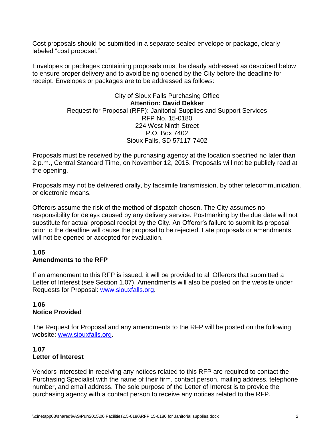Cost proposals should be submitted in a separate sealed envelope or package, clearly labeled "cost proposal."

Envelopes or packages containing proposals must be clearly addressed as described below to ensure proper delivery and to avoid being opened by the City before the deadline for receipt. Envelopes or packages are to be addressed as follows:

### City of Sioux Falls Purchasing Office **Attention: David Dekker** Request for Proposal (RFP): Janitorial Supplies and Support Services RFP No. 15-0180 224 West Ninth Street P.O. Box 7402 Sioux Falls, SD 57117-7402

Proposals must be received by the purchasing agency at the location specified no later than 2 p.m., Central Standard Time, on November 12, 2015. Proposals will not be publicly read at the opening.

Proposals may not be delivered orally, by facsimile transmission, by other telecommunication, or electronic means.

Offerors assume the risk of the method of dispatch chosen. The City assumes no responsibility for delays caused by any delivery service. Postmarking by the due date will not substitute for actual proposal receipt by the City. An Offeror's failure to submit its proposal prior to the deadline will cause the proposal to be rejected. Late proposals or amendments will not be opened or accepted for evaluation.

### **1.05 Amendments to the RFP**

If an amendment to this RFP is issued, it will be provided to all Offerors that submitted a Letter of Interest (see Section 1.07). Amendments will also be posted on the website under Requests for Proposal: [www.siouxfalls.org.](http://www.siouxfalls.org/)

### **1.06 Notice Provided**

The Request for Proposal and any amendments to the RFP will be posted on the following website: [www.siouxfalls.org.](http://www.siouxfalls.org/)

# **1.07 Letter of Interest**

Vendors interested in receiving any notices related to this RFP are required to contact the Purchasing Specialist with the name of their firm, contact person, mailing address, telephone number, and email address. The sole purpose of the Letter of Interest is to provide the purchasing agency with a contact person to receive any notices related to the RFP.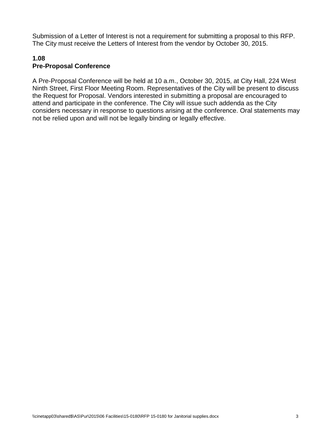Submission of a Letter of Interest is not a requirement for submitting a proposal to this RFP. The City must receive the Letters of Interest from the vendor by October 30, 2015.

### **1.08 Pre-Proposal Conference**

A Pre-Proposal Conference will be held at 10 a.m., October 30, 2015, at City Hall, 224 West Ninth Street, First Floor Meeting Room. Representatives of the City will be present to discuss the Request for Proposal. Vendors interested in submitting a proposal are encouraged to attend and participate in the conference. The City will issue such addenda as the City considers necessary in response to questions arising at the conference. Oral statements may not be relied upon and will not be legally binding or legally effective.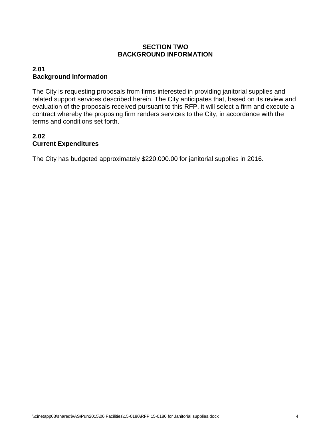# **SECTION TWO BACKGROUND INFORMATION**

# **2.01 Background Information**

The City is requesting proposals from firms interested in providing janitorial supplies and related support services described herein. The City anticipates that, based on its review and evaluation of the proposals received pursuant to this RFP, it will select a firm and execute a contract whereby the proposing firm renders services to the City, in accordance with the terms and conditions set forth.

# **2.02 Current Expenditures**

The City has budgeted approximately \$220,000.00 for janitorial supplies in 2016.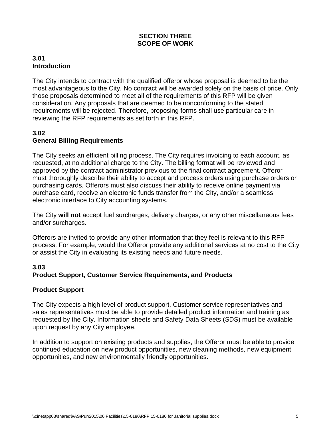### **SECTION THREE SCOPE OF WORK**

### **3.01 Introduction**

The City intends to contract with the qualified offeror whose proposal is deemed to be the most advantageous to the City. No contract will be awarded solely on the basis of price. Only those proposals determined to meet all of the requirements of this RFP will be given consideration. Any proposals that are deemed to be nonconforming to the stated requirements will be rejected. Therefore, proposing forms shall use particular care in reviewing the RFP requirements as set forth in this RFP.

# **3.02 General Billing Requirements**

The City seeks an efficient billing process. The City requires invoicing to each account, as requested, at no additional charge to the City. The billing format will be reviewed and approved by the contract administrator previous to the final contract agreement. Offeror must thoroughly describe their ability to accept and process orders using purchase orders or purchasing cards. Offerors must also discuss their ability to receive online payment via purchase card, receive an electronic funds transfer from the City, and/or a seamless electronic interface to City accounting systems.

The City **will not** accept fuel surcharges, delivery charges, or any other miscellaneous fees and/or surcharges.

Offerors are invited to provide any other information that they feel is relevant to this RFP process. For example, would the Offeror provide any additional services at no cost to the City or assist the City in evaluating its existing needs and future needs.

# **3.03**

# **Product Support, Customer Service Requirements, and Products**

### **Product Support**

The City expects a high level of product support. Customer service representatives and sales representatives must be able to provide detailed product information and training as requested by the City. Information sheets and Safety Data Sheets (SDS) must be available upon request by any City employee.

In addition to support on existing products and supplies, the Offeror must be able to provide continued education on new product opportunities, new cleaning methods, new equipment opportunities, and new environmentally friendly opportunities.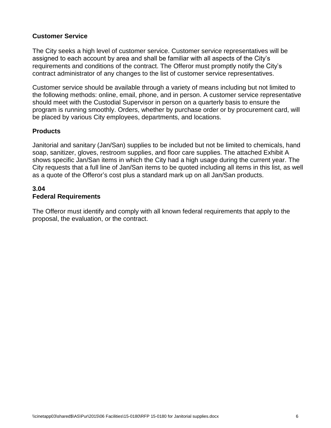### **Customer Service**

The City seeks a high level of customer service. Customer service representatives will be assigned to each account by area and shall be familiar with all aspects of the City's requirements and conditions of the contract. The Offeror must promptly notify the City's contract administrator of any changes to the list of customer service representatives.

Customer service should be available through a variety of means including but not limited to the following methods: online, email, phone, and in person. A customer service representative should meet with the Custodial Supervisor in person on a quarterly basis to ensure the program is running smoothly. Orders, whether by purchase order or by procurement card, will be placed by various City employees, departments, and locations.

### **Products**

Janitorial and sanitary (Jan/San) supplies to be included but not be limited to chemicals, hand soap, sanitizer, gloves, restroom supplies, and floor care supplies. The attached Exhibit A shows specific Jan/San items in which the City had a high usage during the current year. The City requests that a full line of Jan/San items to be quoted including all items in this list, as well as a quote of the Offeror's cost plus a standard mark up on all Jan/San products.

### **3.04 Federal Requirements**

The Offeror must identify and comply with all known federal requirements that apply to the proposal, the evaluation, or the contract.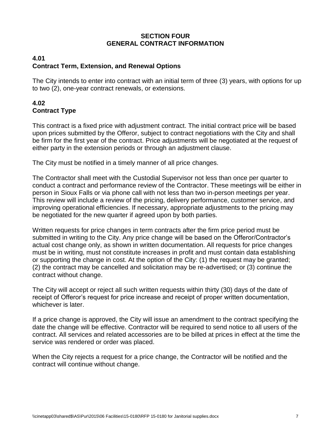### **SECTION FOUR GENERAL CONTRACT INFORMATION**

# **4.01 Contract Term, Extension, and Renewal Options**

The City intends to enter into contract with an initial term of three (3) years, with options for up to two (2), one-year contract renewals, or extensions.

# **4.02 Contract Type**

This contract is a fixed price with adjustment contract. The initial contract price will be based upon prices submitted by the Offeror, subject to contract negotiations with the City and shall be firm for the first year of the contract. Price adjustments will be negotiated at the request of either party in the extension periods or through an adjustment clause.

The City must be notified in a timely manner of all price changes.

The Contractor shall meet with the Custodial Supervisor not less than once per quarter to conduct a contract and performance review of the Contractor. These meetings will be either in person in Sioux Falls or via phone call with not less than two in-person meetings per year. This review will include a review of the pricing, delivery performance, customer service, and improving operational efficiencies. If necessary, appropriate adjustments to the pricing may be negotiated for the new quarter if agreed upon by both parties.

Written requests for price changes in term contracts after the firm price period must be submitted in writing to the City. Any price change will be based on the Offeror/Contractor's actual cost change only, as shown in written documentation. All requests for price changes must be in writing, must not constitute increases in profit and must contain data establishing or supporting the change in cost. At the option of the City: (1) the request may be granted; (2) the contract may be cancelled and solicitation may be re-advertised; or (3) continue the contract without change.

The City will accept or reject all such written requests within thirty (30) days of the date of receipt of Offeror's request for price increase and receipt of proper written documentation, whichever is later.

If a price change is approved, the City will issue an amendment to the contract specifying the date the change will be effective. Contractor will be required to send notice to all users of the contract. All services and related accessories are to be billed at prices in effect at the time the service was rendered or order was placed.

When the City rejects a request for a price change, the Contractor will be notified and the contract will continue without change.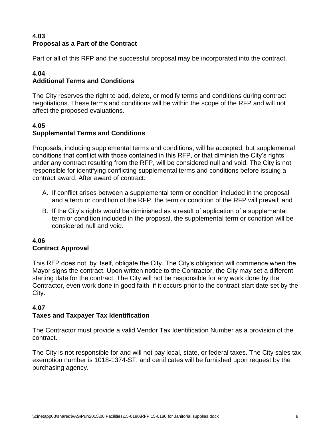# **4.03 Proposal as a Part of the Contract**

Part or all of this RFP and the successful proposal may be incorporated into the contract.

#### **4.04 Additional Terms and Conditions**

The City reserves the right to add, delete, or modify terms and conditions during contract negotiations. These terms and conditions will be within the scope of the RFP and will not affect the proposed evaluations.

### **4.05 Supplemental Terms and Conditions**

Proposals, including supplemental terms and conditions, will be accepted, but supplemental conditions that conflict with those contained in this RFP, or that diminish the City's rights under any contract resulting from the RFP, will be considered null and void. The City is not responsible for identifying conflicting supplemental terms and conditions before issuing a contract award. After award of contract:

- A. If conflict arises between a supplemental term or condition included in the proposal and a term or condition of the RFP, the term or condition of the RFP will prevail; and
- B. If the City's rights would be diminished as a result of application of a supplemental term or condition included in the proposal, the supplemental term or condition will be considered null and void.

### **4.06 Contract Approval**

This RFP does not, by itself, obligate the City. The City's obligation will commence when the Mayor signs the contract. Upon written notice to the Contractor, the City may set a different starting date for the contract. The City will not be responsible for any work done by the Contractor, even work done in good faith, if it occurs prior to the contract start date set by the City.

# **4.07**

# **Taxes and Taxpayer Tax Identification**

The Contractor must provide a valid Vendor Tax Identification Number as a provision of the contract.

The City is not responsible for and will not pay local, state, or federal taxes. The City sales tax exemption number is 1018-1374-ST, and certificates will be furnished upon request by the purchasing agency.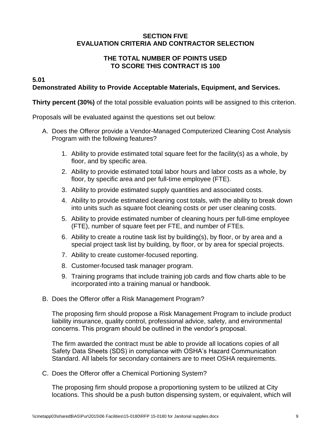### **SECTION FIVE EVALUATION CRITERIA AND CONTRACTOR SELECTION**

### **THE TOTAL NUMBER OF POINTS USED TO SCORE THIS CONTRACT IS 100**

# **5.01**

# **Demonstrated Ability to Provide Acceptable Materials, Equipment, and Services.**

**Thirty percent (30%)** of the total possible evaluation points will be assigned to this criterion.

Proposals will be evaluated against the questions set out below:

- A. Does the Offeror provide a Vendor-Managed Computerized Cleaning Cost Analysis Program with the following features?
	- 1. Ability to provide estimated total square feet for the facility(s) as a whole, by floor, and by specific area.
	- 2. Ability to provide estimated total labor hours and labor costs as a whole, by floor, by specific area and per full-time employee (FTE).
	- 3. Ability to provide estimated supply quantities and associated costs.
	- 4. Ability to provide estimated cleaning cost totals, with the ability to break down into units such as square foot cleaning costs or per user cleaning costs.
	- 5. Ability to provide estimated number of cleaning hours per full-time employee (FTE), number of square feet per FTE, and number of FTEs.
	- 6. Ability to create a routine task list by building(s), by floor, or by area and a special project task list by building, by floor, or by area for special projects.
	- 7. Ability to create customer-focused reporting.
	- 8. Customer-focused task manager program.
	- 9. Training programs that include training job cards and flow charts able to be incorporated into a training manual or handbook.
- B. Does the Offeror offer a Risk Management Program?

The proposing firm should propose a Risk Management Program to include product liability insurance, quality control, professional advice, safety, and environmental concerns. This program should be outlined in the vendor's proposal.

The firm awarded the contract must be able to provide all locations copies of all Safety Data Sheets (SDS) in compliance with OSHA's Hazard Communication Standard. All labels for secondary containers are to meet OSHA requirements.

C. Does the Offeror offer a Chemical Portioning System?

The proposing firm should propose a proportioning system to be utilized at City locations. This should be a push button dispensing system, or equivalent, which will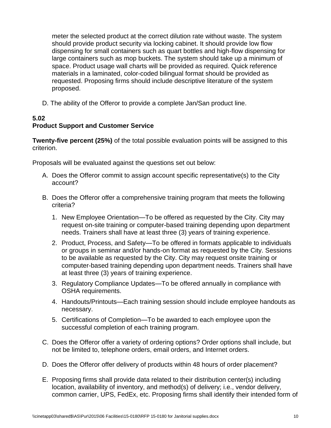meter the selected product at the correct dilution rate without waste. The system should provide product security via locking cabinet. It should provide low flow dispensing for small containers such as quart bottles and high-flow dispensing for large containers such as mop buckets. The system should take up a minimum of space. Product usage wall charts will be provided as required. Quick reference materials in a laminated, color-coded bilingual format should be provided as requested. Proposing firms should include descriptive literature of the system proposed.

D. The ability of the Offeror to provide a complete Jan/San product line.

### **5.02 Product Support and Customer Service**

**Twenty-five percent (25%)** of the total possible evaluation points will be assigned to this criterion.

Proposals will be evaluated against the questions set out below:

- A. Does the Offeror commit to assign account specific representative(s) to the City account?
- B. Does the Offeror offer a comprehensive training program that meets the following criteria?
	- 1. New Employee Orientation—To be offered as requested by the City. City may request on-site training or computer-based training depending upon department needs. Trainers shall have at least three (3) years of training experience.
	- 2. Product, Process, and Safety—To be offered in formats applicable to individuals or groups in seminar and/or hands-on format as requested by the City. Sessions to be available as requested by the City. City may request onsite training or computer-based training depending upon department needs. Trainers shall have at least three (3) years of training experience.
	- 3. Regulatory Compliance Updates—To be offered annually in compliance with OSHA requirements.
	- 4. Handouts/Printouts—Each training session should include employee handouts as necessary.
	- 5. Certifications of Completion—To be awarded to each employee upon the successful completion of each training program.
- C. Does the Offeror offer a variety of ordering options? Order options shall include, but not be limited to, telephone orders, email orders, and Internet orders.
- D. Does the Offeror offer delivery of products within 48 hours of order placement?
- E. Proposing firms shall provide data related to their distribution center(s) including location, availability of inventory, and method(s) of delivery; i.e., vendor delivery, common carrier, UPS, FedEx, etc. Proposing firms shall identify their intended form of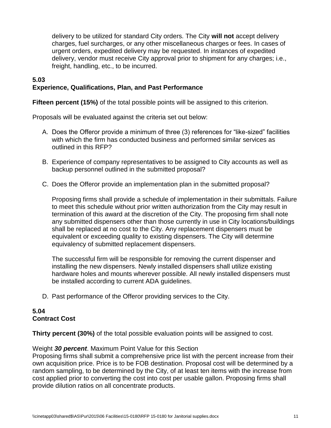delivery to be utilized for standard City orders. The City **will not** accept delivery charges, fuel surcharges, or any other miscellaneous charges or fees. In cases of urgent orders, expedited delivery may be requested. In instances of expedited delivery, vendor must receive City approval prior to shipment for any charges; i.e., freight, handling, etc., to be incurred.

### **5.03 Experience, Qualifications, Plan, and Past Performance**

**Fifteen percent (15%)** of the total possible points will be assigned to this criterion.

Proposals will be evaluated against the criteria set out below:

- A. Does the Offeror provide a minimum of three (3) references for "like-sized" facilities with which the firm has conducted business and performed similar services as outlined in this RFP?
- B. Experience of company representatives to be assigned to City accounts as well as backup personnel outlined in the submitted proposal?
- C. Does the Offeror provide an implementation plan in the submitted proposal?

Proposing firms shall provide a schedule of implementation in their submittals. Failure to meet this schedule without prior written authorization from the City may result in termination of this award at the discretion of the City. The proposing firm shall note any submitted dispensers other than those currently in use in City locations/buildings shall be replaced at no cost to the City. Any replacement dispensers must be equivalent or exceeding quality to existing dispensers. The City will determine equivalency of submitted replacement dispensers.

The successful firm will be responsible for removing the current dispenser and installing the new dispensers. Newly installed dispensers shall utilize existing hardware holes and mounts wherever possible. All newly installed dispensers must be installed according to current ADA guidelines.

D. Past performance of the Offeror providing services to the City.

# **5.04 Contract Cost**

**Thirty percent (30%)** of the total possible evaluation points will be assigned to cost.

#### Weight *30 percent*. Maximum Point Value for this Section

Proposing firms shall submit a comprehensive price list with the percent increase from their own acquisition price. Price is to be FOB destination. Proposal cost will be determined by a random sampling, to be determined by the City, of at least ten items with the increase from cost applied prior to converting the cost into cost per usable gallon. Proposing firms shall provide dilution ratios on all concentrate products.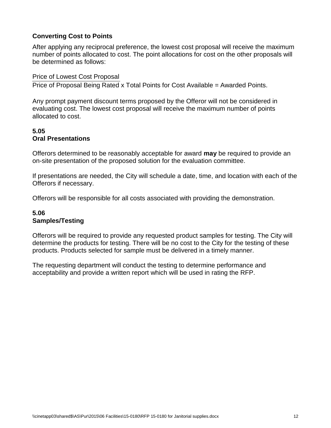# **Converting Cost to Points**

After applying any reciprocal preference, the lowest cost proposal will receive the maximum number of points allocated to cost. The point allocations for cost on the other proposals will be determined as follows:

Price of Lowest Cost Proposal Price of Proposal Being Rated x Total Points for Cost Available = Awarded Points.

Any prompt payment discount terms proposed by the Offeror will not be considered in evaluating cost. The lowest cost proposal will receive the maximum number of points allocated to cost.

# **5.05 Oral Presentations**

Offerors determined to be reasonably acceptable for award **may** be required to provide an on-site presentation of the proposed solution for the evaluation committee.

If presentations are needed, the City will schedule a date, time, and location with each of the Offerors if necessary.

Offerors will be responsible for all costs associated with providing the demonstration.

# **5.06 Samples/Testing**

Offerors will be required to provide any requested product samples for testing. The City will determine the products for testing. There will be no cost to the City for the testing of these products. Products selected for sample must be delivered in a timely manner.

The requesting department will conduct the testing to determine performance and acceptability and provide a written report which will be used in rating the RFP.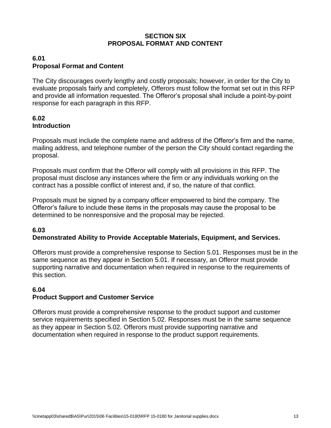### **SECTION SIX PROPOSAL FORMAT AND CONTENT**

### **6.01 Proposal Format and Content**

The City discourages overly lengthy and costly proposals; however, in order for the City to evaluate proposals fairly and completely, Offerors must follow the format set out in this RFP and provide all information requested. The Offeror's proposal shall include a point-by-point response for each paragraph in this RFP.

### **6.02 Introduction**

Proposals must include the complete name and address of the Offeror's firm and the name, mailing address, and telephone number of the person the City should contact regarding the proposal.

Proposals must confirm that the Offeror will comply with all provisions in this RFP. The proposal must disclose any instances where the firm or any individuals working on the contract has a possible conflict of interest and, if so, the nature of that conflict.

Proposals must be signed by a company officer empowered to bind the company. The Offeror's failure to include these items in the proposals may cause the proposal to be determined to be nonresponsive and the proposal may be rejected.

#### **6.03 Demonstrated Ability to Provide Acceptable Materials, Equipment, and Services.**

Offerors must provide a comprehensive response to Section 5.01. Responses must be in the same sequence as they appear in Section 5.01. If necessary, an Offeror must provide supporting narrative and documentation when required in response to the requirements of this section.

# **6.04**

# **Product Support and Customer Service**

Offerors must provide a comprehensive response to the product support and customer service requirements specified in Section 5.02. Responses must be in the same sequence as they appear in Section 5.02. Offerors must provide supporting narrative and documentation when required in response to the product support requirements.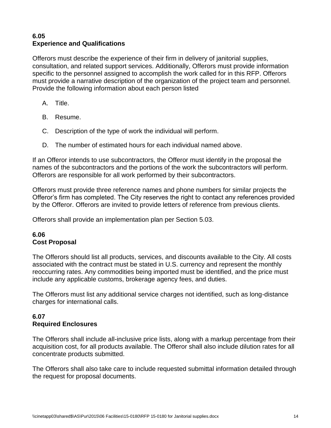### **6.05 Experience and Qualifications**

Offerors must describe the experience of their firm in delivery of janitorial supplies, consultation, and related support services. Additionally, Offerors must provide information specific to the personnel assigned to accomplish the work called for in this RFP. Offerors must provide a narrative description of the organization of the project team and personnel. Provide the following information about each person listed

- A. Title.
- B. Resume.
- C. Description of the type of work the individual will perform.
- D. The number of estimated hours for each individual named above.

If an Offeror intends to use subcontractors, the Offeror must identify in the proposal the names of the subcontractors and the portions of the work the subcontractors will perform. Offerors are responsible for all work performed by their subcontractors.

Offerors must provide three reference names and phone numbers for similar projects the Offeror's firm has completed. The City reserves the right to contact any references provided by the Offeror. Offerors are invited to provide letters of reference from previous clients.

Offerors shall provide an implementation plan per Section 5.03.

# **6.06 Cost Proposal**

The Offerors should list all products, services, and discounts available to the City. All costs associated with the contract must be stated in U.S. currency and represent the monthly reoccurring rates. Any commodities being imported must be identified, and the price must include any applicable customs, brokerage agency fees, and duties.

The Offerors must list any additional service charges not identified, such as long-distance charges for international calls.

### **6.07 Required Enclosures**

The Offerors shall include all-inclusive price lists, along with a markup percentage from their acquisition cost, for all products available. The Offeror shall also include dilution rates for all concentrate products submitted.

The Offerors shall also take care to include requested submittal information detailed through the request for proposal documents.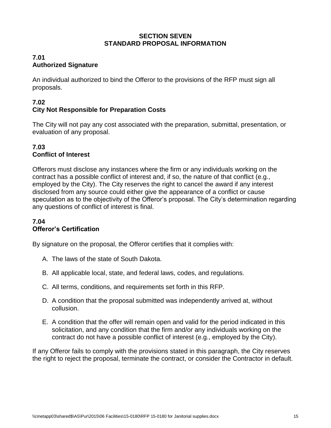### **SECTION SEVEN STANDARD PROPOSAL INFORMATION**

### **7.01 Authorized Signature**

An individual authorized to bind the Offeror to the provisions of the RFP must sign all proposals.

### **7.02 City Not Responsible for Preparation Costs**

The City will not pay any cost associated with the preparation, submittal, presentation, or evaluation of any proposal.

# **7.03 Conflict of Interest**

Offerors must disclose any instances where the firm or any individuals working on the contract has a possible conflict of interest and, if so, the nature of that conflict (e.g., employed by the City). The City reserves the right to cancel the award if any interest disclosed from any source could either give the appearance of a conflict or cause speculation as to the objectivity of the Offeror's proposal. The City's determination regarding any questions of conflict of interest is final.

### **7.04 Offeror's Certification**

By signature on the proposal, the Offeror certifies that it complies with:

- A. The laws of the state of South Dakota.
- B. All applicable local, state, and federal laws, codes, and regulations.
- C. All terms, conditions, and requirements set forth in this RFP.
- D. A condition that the proposal submitted was independently arrived at, without collusion.
- E. A condition that the offer will remain open and valid for the period indicated in this solicitation, and any condition that the firm and/or any individuals working on the contract do not have a possible conflict of interest (e.g., employed by the City).

If any Offeror fails to comply with the provisions stated in this paragraph, the City reserves the right to reject the proposal, terminate the contract, or consider the Contractor in default.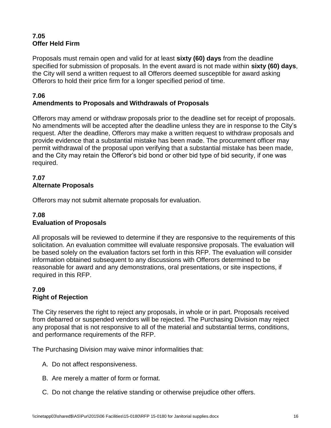# **7.05 Offer Held Firm**

Proposals must remain open and valid for at least **sixty (60) days** from the deadline specified for submission of proposals. In the event award is not made within **sixty (60) days**, the City will send a written request to all Offerors deemed susceptible for award asking Offerors to hold their price firm for a longer specified period of time.

### **7.06 Amendments to Proposals and Withdrawals of Proposals**

Offerors may amend or withdraw proposals prior to the deadline set for receipt of proposals. No amendments will be accepted after the deadline unless they are in response to the City's request. After the deadline, Offerors may make a written request to withdraw proposals and provide evidence that a substantial mistake has been made. The procurement officer may permit withdrawal of the proposal upon verifying that a substantial mistake has been made, and the City may retain the Offeror's bid bond or other bid type of bid security, if one was required.

# **7.07 Alternate Proposals**

Offerors may not submit alternate proposals for evaluation.

# **7.08 Evaluation of Proposals**

All proposals will be reviewed to determine if they are responsive to the requirements of this solicitation. An evaluation committee will evaluate responsive proposals. The evaluation will be based solely on the evaluation factors set forth in this RFP. The evaluation will consider information obtained subsequent to any discussions with Offerors determined to be reasonable for award and any demonstrations, oral presentations, or site inspections, if required in this RFP.

# **7.09 Right of Rejection**

The City reserves the right to reject any proposals, in whole or in part. Proposals received from debarred or suspended vendors will be rejected. The Purchasing Division may reject any proposal that is not responsive to all of the material and substantial terms, conditions, and performance requirements of the RFP.

The Purchasing Division may waive minor informalities that:

- A. Do not affect responsiveness.
- B. Are merely a matter of form or format.
- C. Do not change the relative standing or otherwise prejudice other offers.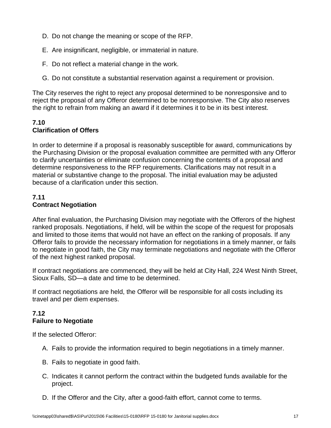- D. Do not change the meaning or scope of the RFP.
- E. Are insignificant, negligible, or immaterial in nature.
- F. Do not reflect a material change in the work.
- G. Do not constitute a substantial reservation against a requirement or provision.

The City reserves the right to reject any proposal determined to be nonresponsive and to reject the proposal of any Offeror determined to be nonresponsive. The City also reserves the right to refrain from making an award if it determines it to be in its best interest.

# **7.10 Clarification of Offers**

In order to determine if a proposal is reasonably susceptible for award, communications by the Purchasing Division or the proposal evaluation committee are permitted with any Offeror to clarify uncertainties or eliminate confusion concerning the contents of a proposal and determine responsiveness to the RFP requirements. Clarifications may not result in a material or substantive change to the proposal. The initial evaluation may be adjusted because of a clarification under this section.

# **7.11 Contract Negotiation**

After final evaluation, the Purchasing Division may negotiate with the Offerors of the highest ranked proposals. Negotiations, if held, will be within the scope of the request for proposals and limited to those items that would not have an effect on the ranking of proposals. If any Offeror fails to provide the necessary information for negotiations in a timely manner, or fails to negotiate in good faith, the City may terminate negotiations and negotiate with the Offeror of the next highest ranked proposal.

If contract negotiations are commenced, they will be held at City Hall, 224 West Ninth Street, Sioux Falls, SD—a date and time to be determined.

If contract negotiations are held, the Offeror will be responsible for all costs including its travel and per diem expenses.

# **7.12 Failure to Negotiate**

If the selected Offeror:

- A. Fails to provide the information required to begin negotiations in a timely manner.
- B. Fails to negotiate in good faith.
- C. Indicates it cannot perform the contract within the budgeted funds available for the project.
- D. If the Offeror and the City, after a good-faith effort, cannot come to terms.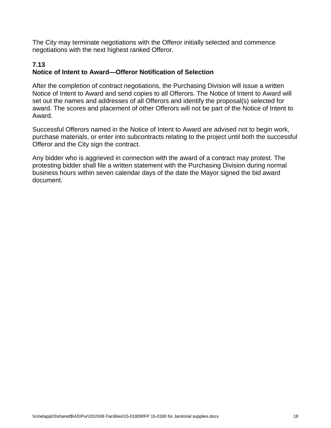The City may terminate negotiations with the Offeror initially selected and commence negotiations with the next highest ranked Offeror.

#### **7.13 Notice of Intent to Award—Offeror Notification of Selection**

After the completion of contract negotiations, the Purchasing Division will issue a written Notice of Intent to Award and send copies to all Offerors. The Notice of Intent to Award will set out the names and addresses of all Offerors and identify the proposal(s) selected for award. The scores and placement of other Offerors will not be part of the Notice of Intent to Award.

Successful Offerors named in the Notice of Intent to Award are advised not to begin work, purchase materials, or enter into subcontracts relating to the project until both the successful Offeror and the City sign the contract.

Any bidder who is aggrieved in connection with the award of a contract may protest. The protesting bidder shall file a written statement with the Purchasing Division during normal business hours within seven calendar days of the date the Mayor signed the bid award document.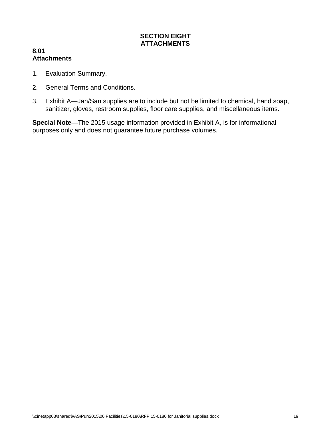### **SECTION EIGHT ATTACHMENTS**

### **8.01 Attachments**

- 1. Evaluation Summary.
- 2. General Terms and Conditions.
- 3. Exhibit A—Jan/San supplies are to include but not be limited to chemical, hand soap, sanitizer, gloves, restroom supplies, floor care supplies, and miscellaneous items.

**Special Note—**The 2015 usage information provided in Exhibit A, is for informational purposes only and does not guarantee future purchase volumes.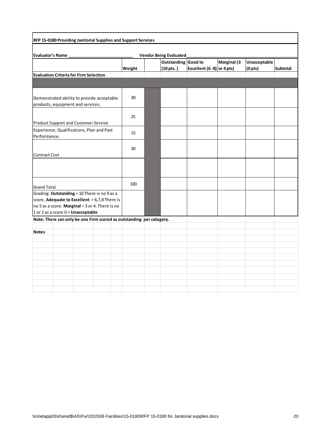| RFP 15-0180 Providing Janitorial Supplies and Support Services       |        |  |                               |                            |                    |                     |                 |
|----------------------------------------------------------------------|--------|--|-------------------------------|----------------------------|--------------------|---------------------|-----------------|
|                                                                      |        |  |                               |                            |                    |                     |                 |
| Evaluator's Name                                                     |        |  | <b>Vendor Being Evaluated</b> |                            |                    |                     |                 |
|                                                                      |        |  | Outstanding Good to           |                            | <b>Marginal</b> (3 | Unacceptable        |                 |
|                                                                      | Weight |  | (10 pts.)                     | Excellent (6 -8) or 4 pts) |                    | (0 <sub>pts</sub> ) | <b>Subtotal</b> |
| <b>Evaluation Criteria for Firm Selection</b>                        |        |  |                               |                            |                    |                     |                 |
|                                                                      |        |  |                               |                            |                    |                     |                 |
| Demonstrated ability to provide acceptable                           | 30     |  |                               |                            |                    |                     |                 |
| products, equipment and services.                                    |        |  |                               |                            |                    |                     |                 |
|                                                                      |        |  |                               |                            |                    |                     |                 |
|                                                                      | 25     |  |                               |                            |                    |                     |                 |
| Product Support and Customer Service                                 |        |  |                               |                            |                    |                     |                 |
| Experience, Qualifications, Plan and Past                            | 15     |  |                               |                            |                    |                     |                 |
| Performance.                                                         |        |  |                               |                            |                    |                     |                 |
|                                                                      |        |  |                               |                            |                    |                     |                 |
|                                                                      | 30     |  |                               |                            |                    |                     |                 |
| <b>Contract Cost</b>                                                 |        |  |                               |                            |                    |                     |                 |
|                                                                      |        |  |                               |                            |                    |                     |                 |
|                                                                      |        |  |                               |                            |                    |                     |                 |
|                                                                      |        |  |                               |                            |                    |                     |                 |
|                                                                      | 100    |  |                               |                            |                    |                     |                 |
| <b>Grand Total</b>                                                   |        |  |                               |                            |                    |                     |                 |
| Grading: Outstanding = 10 There is no 9 as a                         |        |  |                               |                            |                    |                     |                 |
| score, Adequate to Excellent = 6,7,8 There is                        |        |  |                               |                            |                    |                     |                 |
| no 5 as a score. Marginal = $3$ or 4. There is no                    |        |  |                               |                            |                    |                     |                 |
| 1 or 2 as a score 0 = Unacceptable                                   |        |  |                               |                            |                    |                     |                 |
| Note: There can only be one Firm scored as outstanding per category. |        |  |                               |                            |                    |                     |                 |
|                                                                      |        |  |                               |                            |                    |                     |                 |
| <b>Notes</b>                                                         |        |  |                               |                            |                    |                     |                 |
|                                                                      |        |  |                               |                            |                    |                     |                 |
|                                                                      |        |  |                               |                            |                    |                     |                 |
|                                                                      |        |  |                               |                            |                    |                     |                 |
|                                                                      |        |  |                               |                            |                    |                     |                 |
|                                                                      |        |  |                               |                            |                    |                     |                 |
|                                                                      |        |  |                               |                            |                    |                     |                 |
|                                                                      |        |  |                               |                            |                    |                     |                 |
|                                                                      |        |  |                               |                            |                    |                     |                 |
|                                                                      |        |  |                               |                            |                    |                     |                 |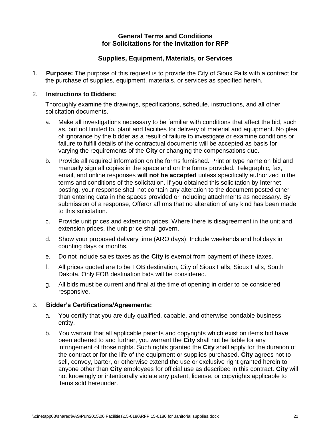### **General Terms and Conditions for Solicitations for the Invitation for RFP**

### **Supplies, Equipment, Materials, or Services**

1. **Purpose:** The purpose of this request is to provide the City of Sioux Falls with a contract for the purchase of supplies, equipment, materials, or services as specified herein.

#### 2. **Instructions to Bidders:**

Thoroughly examine the drawings, specifications, schedule, instructions, and all other solicitation documents.

- a. Make all investigations necessary to be familiar with conditions that affect the bid, such as, but not limited to, plant and facilities for delivery of material and equipment. No plea of ignorance by the bidder as a result of failure to investigate or examine conditions or failure to fulfill details of the contractual documents will be accepted as basis for varying the requirements of the **City** or changing the compensations due.
- b. Provide all required information on the forms furnished. Print or type name on bid and manually sign all copies in the space and on the forms provided. Telegraphic, fax, email, and online responses **will not be accepted** unless specifically authorized in the terms and conditions of the solicitation. If you obtained this solicitation by Internet posting, your response shall not contain any alteration to the document posted other than entering data in the spaces provided or including attachments as necessary. By submission of a response, Offeror affirms that no alteration of any kind has been made to this solicitation.
- c. Provide unit prices and extension prices. Where there is disagreement in the unit and extension prices, the unit price shall govern.
- d. Show your proposed delivery time (ARO days). Include weekends and holidays in counting days or months.
- e. Do not include sales taxes as the **City** is exempt from payment of these taxes.
- f. All prices quoted are to be FOB destination, City of Sioux Falls, Sioux Falls, South Dakota. Only FOB destination bids will be considered.
- g. All bids must be current and final at the time of opening in order to be considered responsive.

### 3. **Bidder's Certifications/Agreements:**

- a. You certify that you are duly qualified, capable, and otherwise bondable business entity.
- b. You warrant that all applicable patents and copyrights which exist on items bid have been adhered to and further, you warrant the **City** shall not be liable for any infringement of those rights. Such rights granted the **City** shall apply for the duration of the contract or for the life of the equipment or supplies purchased. **City** agrees not to sell, convey, barter, or otherwise extend the use or exclusive right granted herein to anyone other than **City** employees for official use as described in this contract. **City** will not knowingly or intentionally violate any patent, license, or copyrights applicable to items sold hereunder.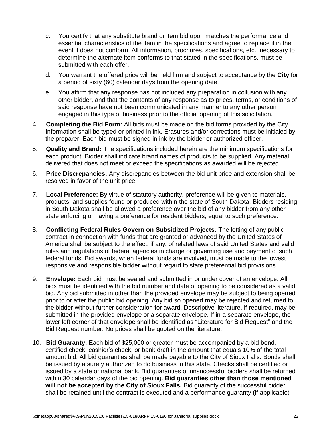- c. You certify that any substitute brand or item bid upon matches the performance and essential characteristics of the item in the specifications and agree to replace it in the event it does not conform. All information, brochures, specifications, etc., necessary to determine the alternate item conforms to that stated in the specifications, must be submitted with each offer.
- d. You warrant the offered price will be held firm and subject to acceptance by the **City** for a period of sixty (60) calendar days from the opening date.
- e. You affirm that any response has not included any preparation in collusion with any other bidder, and that the contents of any response as to prices, terms, or conditions of said response have not been communicated in any manner to any other person engaged in this type of business prior to the official opening of this solicitation.
- 4. **Completing the Bid Form:** All bids must be made on the bid forms provided by the City. Information shall be typed or printed in ink. Erasures and/or corrections must be initialed by the preparer. Each bid must be signed in ink by the bidder or authorized officer.
- 5. **Quality and Brand:** The specifications included herein are the minimum specifications for each product. Bidder shall indicate brand names of products to be supplied. Any material delivered that does not meet or exceed the specifications as awarded will be rejected.
- 6. **Price Discrepancies:** Any discrepancies between the bid unit price and extension shall be resolved in favor of the unit price.
- 7. **Local Preference:** By virtue of statutory authority, preference will be given to materials, products, and supplies found or produced within the state of South Dakota. Bidders residing in South Dakota shall be allowed a preference over the bid of any bidder from any other state enforcing or having a preference for resident bidders, equal to such preference.
- 8. **Conflicting Federal Rules Govern on Subsidized Projects:** The letting of any public contract in connection with funds that are granted or advanced by the United States of America shall be subject to the effect, if any, of related laws of said United States and valid rules and regulations of federal agencies in charge or governing use and payment of such federal funds. Bid awards, when federal funds are involved, must be made to the lowest responsive and responsible bidder without regard to state preferential bid provisions.
- 9. **Envelope:** Each bid must be sealed and submitted in or under cover of an envelope. All bids must be identified with the bid number and date of opening to be considered as a valid bid. Any bid submitted in other than the provided envelope may be subject to being opened prior to or after the public bid opening. Any bid so opened may be rejected and returned to the bidder without further consideration for award. Descriptive literature, if required, may be submitted in the provided envelope or a separate envelope. If in a separate envelope, the lower left corner of that envelope shall be identified as "Literature for Bid Request" and the Bid Request number. No prices shall be quoted on the literature.
- 10. **Bid Guaranty:** Each bid of \$25,000 or greater must be accompanied by a bid bond, certified check, cashier's check, or bank draft in the amount that equals 10% of the total amount bid. All bid guaranties shall be made payable to the City of Sioux Falls. Bonds shall be issued by a surety authorized to do business in this state. Checks shall be certified or issued by a state or national bank. Bid guaranties of unsuccessful bidders shall be returned within 30 calendar days of the bid opening. **Bid guaranties other than those mentioned will not be accepted by the City of Sioux Falls.** Bid guaranty of the successful bidder shall be retained until the contract is executed and a performance guaranty (if applicable)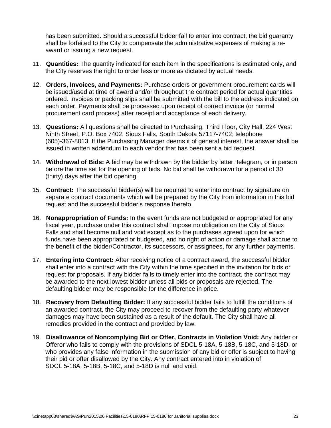has been submitted. Should a successful bidder fail to enter into contract, the bid guaranty shall be forfeited to the City to compensate the administrative expenses of making a reaward or issuing a new request.

- 11. **Quantities:** The quantity indicated for each item in the specifications is estimated only, and the City reserves the right to order less or more as dictated by actual needs.
- 12. **Orders, Invoices, and Payments:** Purchase orders or government procurement cards will be issued/used at time of award and/or throughout the contract period for actual quantities ordered. Invoices or packing slips shall be submitted with the bill to the address indicated on each order. Payments shall be processed upon receipt of correct invoice (or normal procurement card process) after receipt and acceptance of each delivery.
- 13. **Questions:** All questions shall be directed to Purchasing, Third Floor, City Hall, 224 West Ninth Street, P.O. Box 7402, Sioux Falls, South Dakota 57117-7402; telephone (605)-367-8013. If the Purchasing Manager deems it of general interest, the answer shall be issued in written addendum to each vendor that has been sent a bid request.
- 14. **Withdrawal of Bids:** A bid may be withdrawn by the bidder by letter, telegram, or in person before the time set for the opening of bids. No bid shall be withdrawn for a period of 30 (thirty) days after the bid opening.
- 15. **Contract:** The successful bidder(s) will be required to enter into contract by signature on separate contract documents which will be prepared by the City from information in this bid request and the successful bidder's response thereto.
- 16. **Nonappropriation of Funds:** In the event funds are not budgeted or appropriated for any fiscal year, purchase under this contract shall impose no obligation on the City of Sioux Falls and shall become null and void except as to the purchases agreed upon for which funds have been appropriated or budgeted, and no right of action or damage shall accrue to the benefit of the bidder/Contractor, its successors, or assignees, for any further payments.
- 17. **Entering into Contract:** After receiving notice of a contract award, the successful bidder shall enter into a contract with the City within the time specified in the invitation for bids or request for proposals. If any bidder fails to timely enter into the contract, the contract may be awarded to the next lowest bidder unless all bids or proposals are rejected. The defaulting bidder may be responsible for the difference in price.
- 18. **Recovery from Defaulting Bidder:** If any successful bidder fails to fulfill the conditions of an awarded contract, the City may proceed to recover from the defaulting party whatever damages may have been sustained as a result of the default. The City shall have all remedies provided in the contract and provided by law.
- 19. **Disallowance of Noncomplying Bid or Offer, Contracts in Violation Void:** Any bidder or Offeror who fails to comply with the provisions of SDCL 5-18A, 5-18B, 5-18C, and 5-18D, or who provides any false information in the submission of any bid or offer is subject to having their bid or offer disallowed by the City. Any contract entered into in violation of SDCL 5-18A, 5-18B, 5-18C, and 5-18D is null and void.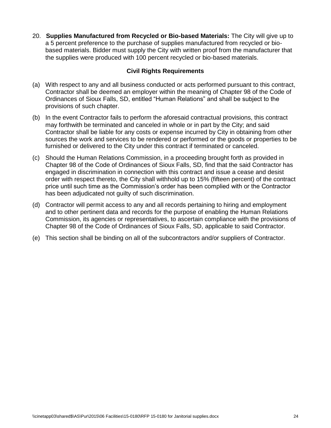20. **Supplies Manufactured from Recycled or Bio-based Materials:** The City will give up to a 5 percent preference to the purchase of supplies manufactured from recycled or biobased materials. Bidder must supply the City with written proof from the manufacturer that the supplies were produced with 100 percent recycled or bio-based materials.

### **Civil Rights Requirements**

- (a) With respect to any and all business conducted or acts performed pursuant to this contract, Contractor shall be deemed an employer within the meaning of Chapter 98 of the Code of Ordinances of Sioux Falls, SD, entitled "Human Relations" and shall be subject to the provisions of such chapter.
- (b) In the event Contractor fails to perform the aforesaid contractual provisions, this contract may forthwith be terminated and canceled in whole or in part by the City; and said Contractor shall be liable for any costs or expense incurred by City in obtaining from other sources the work and services to be rendered or performed or the goods or properties to be furnished or delivered to the City under this contract if terminated or canceled.
- (c) Should the Human Relations Commission, in a proceeding brought forth as provided in Chapter 98 of the Code of Ordinances of Sioux Falls, SD, find that the said Contractor has engaged in discrimination in connection with this contract and issue a cease and desist order with respect thereto, the City shall withhold up to 15% (fifteen percent) of the contract price until such time as the Commission's order has been complied with or the Contractor has been adjudicated not guilty of such discrimination.
- (d) Contractor will permit access to any and all records pertaining to hiring and employment and to other pertinent data and records for the purpose of enabling the Human Relations Commission, its agencies or representatives, to ascertain compliance with the provisions of Chapter 98 of the Code of Ordinances of Sioux Falls, SD, applicable to said Contractor.
- (e) This section shall be binding on all of the subcontractors and/or suppliers of Contractor.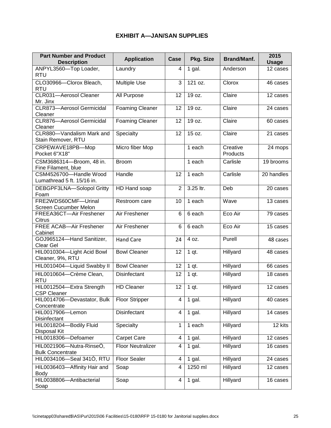# **EXHIBIT A—JAN/SAN SUPPLIES**

| <b>Part Number and Product</b><br><b>Description</b> | <b>Application</b>       | Pkg. Size<br>Case |           | <b>Brand/Manf.</b>   | 2015<br><b>Usage</b>  |
|------------------------------------------------------|--------------------------|-------------------|-----------|----------------------|-----------------------|
| ANPYL3560-Top Loader,<br><b>RTU</b>                  | Laundry                  | 4                 | 1 gal.    | Anderson             | 12 cases              |
| CLO30966-Clorox Bleach,<br><b>RTU</b>                | <b>Multiple Use</b>      | 3                 | 121 oz.   | Clorox               | 46 cases              |
| CLR031-Aerosol Cleaner<br>Mr. Jinx                   | All Purpose              | 12                | 19 oz.    | Claire               | 12 cases              |
| <b>CLR873-Aerosol Germicidal</b><br>Cleaner          | <b>Foaming Cleaner</b>   | 12                | 19 oz.    | Claire               | 24 cases              |
| <b>CLR876-Aerosol Germicidal</b><br>Cleaner          | <b>Foaming Cleaner</b>   | 12                | 19 oz.    | Claire               | 60 cases              |
| CLR880-Vandalism Mark and<br>Stain Remover, RTU      | Specialty                | 12                | 15 oz.    | Claire               | 21 cases              |
| CRPEWAVE18PB-Mop<br>Pocket 6"X18"                    | Micro fiber Mop          |                   | 1 each    | Creative<br>Products | 24 mops               |
| CSM3686314-Broom, 48 in.<br>Fine Filament, blue      | <b>Broom</b>             |                   | 1 each    | Carlisle             | 19 brooms             |
| CSM4526700-Handle Wood<br>Lumathread 5 ft. 15/16 in. | Handle                   | 12                | 1 each    | Carlisle             | 20 handles            |
| DEBGPF3LNA-Solopol Gritty<br>Foam                    | HD Hand soap             | $\overline{2}$    | 3.25 ltr. | Deb                  | 20 cases              |
| FRE2WDS60CMF-Urinal<br>Screen Cucumber Melon         | Restroom care            | 10                | 1 each    | Wave                 | 13 cases              |
| FREEA36CT-Air Freshener<br><b>Citrus</b>             | Air Freshener            | 6                 | 6 each    | Eco Air              | 79 cases              |
| <b>FREE ACAB-Air Freshener</b><br>Cabinet            | Air Freshener            | 6                 | 6 each    | Eco Air              | 15 cases              |
| GOJ965124-Hand Sanitizer,<br>Clear Gel               | <b>Hand Care</b>         | 24                | 4 oz.     | Purell               | 48 cases              |
| HIL0010304-Light Acid Bowl<br>Cleaner, 9%, RTU       | <b>Bowl Cleaner</b>      | 12                | $1$ qt.   | Hillyard             | 48 cases              |
| HIL0010404-Liquid Swabby II                          | <b>Bowl Cleaner</b>      | 12                | $1$ qt.   | Hillyard             | 66 cases              |
| HIL0010604-Crème Clean,<br><b>RTU</b>                | Disinfectant             | 12                | 1 qt.     | Hillyard             | 18 cases              |
| HIL0012504-Extra Strength<br>CSP Cleaner             | <b>HD Cleaner</b>        | 12                | 1 qt.     | Hillyard             | 12 cases              |
| HIL0014706-Devastator, Bulk<br>Concentrate           | <b>Floor Stripper</b>    | 4                 | $1$ gal.  | Hillyard             | 40 cases              |
| HIL0017906-Lemon<br>Disinfectant                     | Disinfectant             | 4                 | $1$ gal.  | Hillyard             | 14 cases              |
| HIL0018204-Bodily Fluid<br>Disposal Kit              | Specialty                | 1                 | 1 each    | Hillyard             | 12 kits               |
| HIL0018306-Defoamer                                  | Carpet Care              | 4                 | 1 gal.    | Hillyard             | $\overline{1}2$ cases |
| HIL0021906-Nutra-RinseÒ,<br><b>Bulk Concentrate</b>  | <b>Floor Neutralizer</b> | 4                 | $1$ gal.  | Hillyard             | 16 cases              |
| HIL0034106-Seal 3410, RTU                            | <b>Floor Sealer</b>      | 4                 | $1$ gal.  | Hillyard             | 24 cases              |
| HIL0036403-Affinity Hair and<br>Body                 | Soap                     | 4                 | 1250 ml   | Hillyard             | 12 cases              |
| HIL0038806-Antibacterial<br>Soap                     | Soap                     | 4                 | 1 gal.    | Hillyard             | 16 cases              |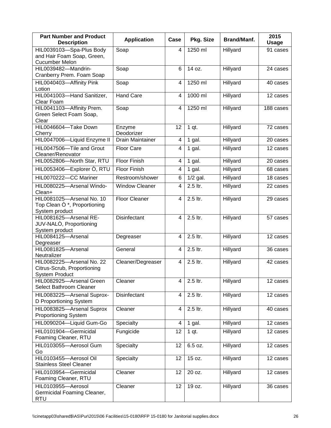| <b>Part Number and Product</b><br><b>Description</b>                                 | <b>Application</b>    | Case           | Pkg. Size  | Brand/Manf. | 2015<br><b>Usage</b> |
|--------------------------------------------------------------------------------------|-----------------------|----------------|------------|-------------|----------------------|
| HIL0039103-Spa-Plus Body<br>and Hair Foam Soap, Green,<br><b>Cucumber Melon</b>      | Soap                  | 4              | 1250 ml    | Hillyard    | 91 cases             |
| HIL0039482-Mandrin-<br>Cranberry Prem. Foam Soap                                     | Soap                  | 6              | 14 oz.     | Hillyard    | 24 cases             |
| HIL0040403-Affinity Pink<br>Lotion                                                   | Soap                  | 4              | 1250 ml    | Hillyard    | 40 cases             |
| HIL0041003-Hand Sanitizer,<br>Clear Foam                                             | <b>Hand Care</b>      | 4              | 1000 ml    | Hillyard    | 12 cases             |
| HIL0041103-Affinity Prem.<br>Green Select Foam Soap,<br>Clear                        | Soap                  | $\overline{4}$ | 1250 ml    | Hillyard    | 188 cases            |
| HIL0046604-Take Down<br>Cherry                                                       | Enzyme<br>Deodorizer  | 12             | $1$ qt.    | Hillyard    | 72 cases             |
| HIL0047006-Liquid Enzyme II                                                          | Drain Maintainer      | 4              | 1 gal.     | Hillyard    | 20 cases             |
| HIL0047506-Tile and Grout<br>Cleaner/Renovator                                       | Floor Care            | 4              | $1$ gal.   | Hillyard    | 12 cases             |
| HIL0052806-North Star, RTU                                                           | Floor Finish          | 4              | $1$ gal.   | Hillyard    | 20 cases             |
| HIL0053406-Explorer O, RTU                                                           | Floor Finish          | 4              | 1 gal.     | Hillyard    | 68 cases             |
| HIL0070222-CC Mariner                                                                | Restroom/shower       | 6              | $1/2$ gal. | Hillyard    | 18 cases             |
| HIL0080225-Arsenal Windo-<br>Clean+                                                  | <b>Window Cleaner</b> | 4              | $2.5$ ltr. | Hillyard    | 22 cases             |
| HIL0081025-Arsenal No. 10<br>Top Clean $\dot{O}^*$ , Proportioning<br>System product | <b>Floor Cleaner</b>  | 4              | 2.5 ltr.   | Hillyard    | 29 cases             |
| HIL0081625-Arsenal RE-<br>JUV-NALO, Proportioning<br>System product                  | Disinfectant          | 4              | 2.5 ltr.   | Hillyard    | 57 cases             |
| HIL0084125-Arsenal<br>Degreaser                                                      | Degreaser             | 4              | 2.5 ltr.   | Hillyard    | 12 cases             |
| HIL0081825-Arsenal<br>Neutralizer                                                    | General               | 4              | 2.5 ltr.   | Hillyard    | 36 cases             |
| HIL0082225-Arsenal No. 22<br>Citrus-Scrub, Proportioning<br>System Product           | Cleaner/Degreaser     | 4              | 2.5 ltr.   | Hillyard    | 42 cases             |
| HIL0082925-Arsenal Green<br>Select Bathroom Cleaner                                  | Cleaner               | 4              | 2.5 ltr.   | Hillyard    | 12 cases             |
| HIL0083225-Arsenal Suprox-<br>D Proportioning System                                 | Disinfectant          | 4              | 2.5 ltr.   | Hillyard    | 12 cases             |
| HIL0083825-Arsenal Suprox<br><b>Proportioning System</b>                             | Cleaner               | 4              | 2.5 ltr.   | Hillyard    | 40 cases             |
| HIL0090204-Liquid Gum-Go                                                             | Specialty             | 4              | $1$ gal.   | Hillyard    | 12 cases             |
| HIL0101904-Germicidal<br>Foaming Cleaner, RTU                                        | Fungicide             | 12             | 1 qt.      | Hillyard    | 12 cases             |
| HIL0103055-Aerosol Gum<br>Go                                                         | Specialty             | 12             | 6.5 oz.    | Hillyard    | 12 cases             |
| HIL0103455-Aerosol Oil<br><b>Stainless Steel Cleaner</b>                             | Specialty             | 12             | 15 oz.     | Hillyard    | 12 cases             |
| HIL0103954-Germicidal<br>Foaming Cleaner, RTU                                        | Cleaner               | 12             | 20 oz.     | Hillyard    | 12 cases             |
| HIL0103955-Aerosol<br>Germicidal Foaming Cleaner,<br>RTU                             | Cleaner               | 12             | 19 oz.     | Hillyard    | 36 cases             |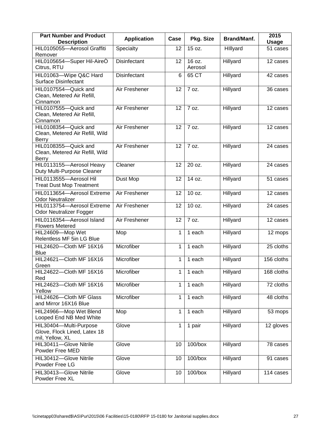| <b>Part Number and Product</b><br><b>Description</b>                      | <b>Application</b> | Case | Pkg. Size         | Brand/Manf. | 2015<br><b>Usage</b>  |
|---------------------------------------------------------------------------|--------------------|------|-------------------|-------------|-----------------------|
| HIL0105055-Aerosol Graffiti<br>Remover                                    | Specialty          | 12   | 15 oz.            | Hillyard    | 51 cases              |
| HIL0105654-Super Hil-AireO<br>Citrus, RTU                                 | Disinfectant       | 12   | 16 oz.<br>Aerosol | Hillyard    | 12 cases              |
| HIL01063-Wipe Q&C Hard<br><b>Surface Disinfectant</b>                     | Disinfectant       | 6    | 65 CT             | Hillyard    | 42 cases              |
| HIL0107554-Quick and<br>Clean, Metered Air Refill,<br>Cinnamon            | Air Freshener      | 12   | 7 oz.             | Hillyard    | 36 cases              |
| HIL0107555-Quick and<br>Clean, Metered Air Refill,<br>Cinnamon            | Air Freshener      | 12   | 7 oz.             | Hillyard    | $\overline{12}$ cases |
| HIL0108354-Quick and<br>Clean, Metered Air Refill, Wild<br><b>Berry</b>   | Air Freshener      | 12   | 7 oz.             | Hillyard    | 12 cases              |
| HIL0108355-Quick and<br>Clean, Metered Air Refill, Wild<br>Berry          | Air Freshener      | 12   | 7 oz.             | Hillyard    | 24 cases              |
| HIL0113155-Aerosol Heavy<br>Duty Multi-Purpose Cleaner                    | Cleaner            | 12   | 20 oz.            | Hillyard    | 24 cases              |
| HIL0113555-Aerosol Hil<br><b>Treat Dust Mop Treatment</b>                 | Dust Mop           | 12   | 14 oz.            | Hillyard    | 51 cases              |
| HIL0113654-Aerosol Extreme<br><b>Odor Neutralizer</b>                     | Air Freshener      | 12   | 10 oz.            | Hillyard    | 12 cases              |
| HIL0113754-Aerosol Extreme<br>Odor Neutralizer Fogger                     | Air Freshener      | 12   | 10 oz.            | Hillyard    | 24 cases              |
| HIL0116354-Aerosol Island<br><b>Flowers Metered</b>                       | Air Freshener      | 12   | 7 oz.             | Hillyard    | 12 cases              |
| HIL24609-Mop Wet<br>Relentless MF 5in LG Blue                             | Mop                | 1    | 1 each            | Hillyard    | 12 mops               |
| HIL24620-Cloth MF 16X16<br><b>Blue</b>                                    | Microfiber         | 1    | 1 each            | Hillyard    | 25 cloths             |
| HIL24621-Cloth MF 16X16<br>Green                                          | Microfiber         | 1    | 1 each            | Hillyard    | 156 cloths            |
| HIL24622-Cloth MF 16X16<br>Red                                            | Microfiber         | 1    | 1 each            | Hillyard    | 168 cloths            |
| HIL24623-Cloth MF 16X16<br>Yellow                                         | Microfiber         | 1    | 1 each            | Hillyard    | 72 cloths             |
| HIL24626-Cloth MF Glass<br>and Mirror 16X16 Blue                          | Microfiber         | 1    | 1 each            | Hillyard    | 48 cloths             |
| HIL24966-Mop Wet Blend<br>Looped End NB Med White                         | Mop                | 1    | 1 each            | Hillyard    | 53 mops               |
| HIL30404-Multi-Purpose<br>Glove, Flock Lined, Latex 18<br>mil, Yellow, XL | Glove              | 1    | 1 pair            | Hillyard    | 12 gloves             |
| HIL30411-Glove Nitrile<br>Powder Free MED                                 | Glove              | 10   | $100/b$ ox        | Hillyard    | 78 cases              |
| HIL30412-Glove Nitrile<br>Powder Free LG                                  | Glove              | 10   | $100/b$ ox        | Hillyard    | 91 cases              |
| HIL30413-Glove Nitrile<br>Powder Free XL                                  | Glove              | 10   | $100/b$ ox        | Hillyard    | 114 cases             |